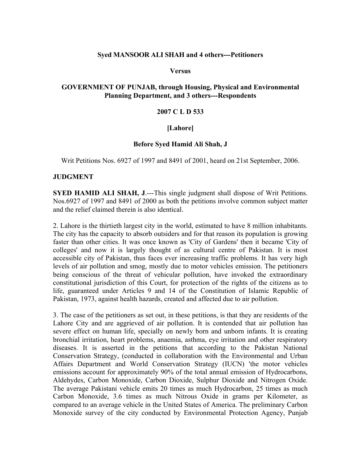## **Syed MANSOOR ALI SHAH and 4 others---Petitioners**

**Versus**

### **GOVERNMENT OF PUNJAB, through Housing, Physical and Environmental Planning Department, and 3 others---Respondents**

#### **2007 C L D 533**

### **[Lahore]**

#### **Before Syed Hamid Ali Shah, J**

Writ Petitions Nos. 6927 of 1997 and 8491 of 2001, heard on 21st September, 2006.

#### **JUDGMENT**

**SYED HAMID ALI SHAH, J.---This single judgment shall dispose of Writ Petitions.** Nos.6927 of 1997 and 8491 of 2000 as both the petitions involve common subject matter and the relief claimed therein is also identical.

2. Lahore is the thirtieth largest city in the world, estimated to have 8 million inhabitants. The city has the capacity to absorb outsiders and for that reason its population is growing faster than other cities. It was once known as 'City of Gardens' then it became 'City of colleges' and now it is largely thought of as cultural centre of Pakistan. It is most accessible city of Pakistan, thus faces ever increasing traffic problems. It has very high levels of air pollution and smog, mostly due to motor vehicles emission. The petitioners being conscious of the threat of vehicular pollution, have invoked the extraordinary constitutional jurisdiction of this Court, for protection of the rights of the citizens as to life, guaranteed under Articles 9 and 14 of the Constitution of Islamic Republic of Pakistan, 1973, against health hazards, created and affected due to air pollution.

3. The case of the petitioners as set out, in these petitions, is that they are residents of the Lahore City and are aggrieved of air pollution. It is contended that air pollution has severe effect on human life, specially on newly born and unborn infants. It is creating bronchial irritation, heart problems, anaemia, asthma, eye irritation and other respiratory diseases. It is asserted in the petitions that according to the Pakistan National Conservation Strategy, (conducted in collaboration with the Environmental and Urban Affairs Department and World Conservation Strategy (IUCN) 'the motor vehicles emissions account for approximately 90% of the total annual emission of Hydrocarbons, Aldehydes, Carbon Monoxide, Carbon Dioxide, Sulphur Dioxide and Nitrogen Oxide. The average Pakistani vehicle emits 20 times as much Hydrocarbon, 25 times as much Carbon Monoxide, 3.6 times as much Nitrous Oxide in grams per Kilometer, as compared to an average vehicle in the United States of America. The preliminary Carbon Monoxide survey of the city conducted by Environmental Protection Agency, Punjab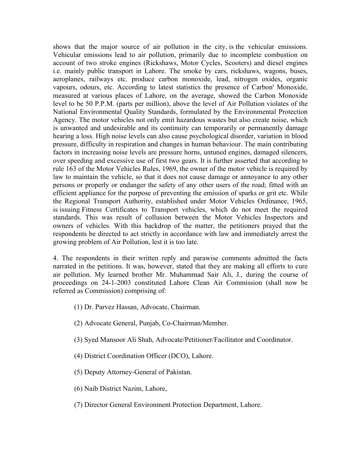shows that the major source of air pollution in the city, is the vehicular emissions. Vehicular emissions lead to air pollution, primarily due to incomplete combustion on account of two stroke engines (Rickshaws, Motor Cycles, Scooters) and diesel engines i.e. mainly public transport in Lahore. The smoke by cars, rickshaws, wagons, buses, aeroplanes, railways etc. produce carbon monoxide, lead, nitrogen oxides, organic vapours, odours, etc. According to latest statistics the presence of Carbon' Monoxide, measured at various places of Lahore, on the average, showed the Carbon Monoxide level to be 50 P.P.M. (parts per million), above the level of Air Pollution violates of the National Environmental Quality Standards, formulated by the Environmental Protection Agency. The motor vehicles not only emit hazardous wastes but also create noise, which is unwanted and undesirable and its continuity can temporarily or permanently damage hearing a loss. High noise levels can also cause psychological disorder, variation in blood pressure, difficulty in respiration and changes in human behaviour. The main contributing factors in increasing noise levels are pressure horns, untuned engines, damaged silencers, over speeding and excessive use of first two gears. It is further asserted that according to rule 163 of the Motor Vehicles Rules, 1969, the owner of the motor vehicle is required by law to maintain the vehicle, so that it does not cause damage or annoyance to any other persons or properly or endanger the safety of any other users of the road; fitted with an efficient appliance for the purpose of preventing the emission of sparks or grit etc. While the Regional Transport Authority, established under Motor Vehicles Ordinance, 1965, is issuing Fitness Certificates to Transport vehicles, which do not meet the required standards. This was result of collusion between the Motor Vehicles Inspectors and owners of vehicles. With this backdrop of the matter, the petitioners prayed that the respondents be directed to act strictly in accordance with law and immediately arrest the growing problem of Air Pollution, lest it is too late.

4. The respondents in their written reply and parawise comments admitted the facts narrated in the petitions. It was, however, stated that they are making all efforts to cure air pollution. My learned brother Mr. Muhammad Sair Ali, J., during the course of proceedings on 24-1-2003 constituted Lahore Clean Air Commission (shall now be referred as Commission) comprising of:

- (1) Dr. Parvez Hassan, Advocate, Chairman.
- (2) Advocate General, Punjab, Co-Chairman/Member.
- (3) Syed Mansoor Ali Shah, Advocate/Petitioner/Facilitator and Coordinator.
- (4) District Coordination Officer (DCO), Lahore.
- (5) Deputy Attorney-General of Pakistan.
- (6) Naib District Nazim, Lahore,
- (7) Director General Environment Protection Department, Lahore.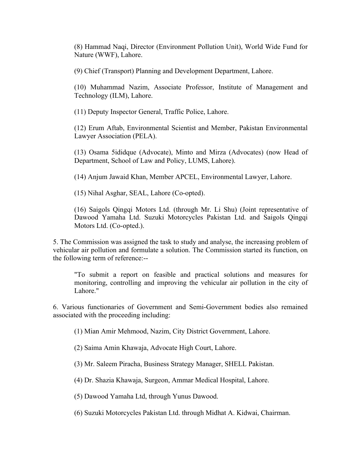(8) Hammad Naqi, Director (Environment Pollution Unit), World Wide Fund for Nature (WWF), Lahore.

(9) Chief (Transport) Planning and Development Department, Lahore.

(10) Muhammad Nazim, Associate Professor, Institute of Management and Technology (ILM), Lahore.

(11) Deputy Inspector General, Traffic Police, Lahore.

(12) Erum Aftab, Environmental Scientist and Member, Pakistan Environmental Lawyer Association (PELA).

(13) Osama 5ididque (Advocate), Minto and Mirza (Advocates) (now Head of Department, School of Law and Policy, LUMS, Lahore).

(14) Anjum Jawaid Khan, Member APCEL, Environmental Lawyer, Lahore.

(15) Nihal Asghar, SEAL, Lahore (Co-opted).

(16) Saigols Qingqi Motors Ltd. (through Mr. Li Shu) (Joint representative of Dawood Yamaha Ltd. Suzuki Motorcycles Pakistan Ltd. and Saigols Qingqi Motors Ltd. (Co-opted.).

5. The Commission was assigned the task to study and analyse, the increasing problem of vehicular air pollution and formulate a solution. The Commission started its function, on the following term of reference:--

"To submit a report on feasible and practical solutions and measures for monitoring, controlling and improving the vehicular air pollution in the city of Lahore."

6. Various functionaries of Government and Semi-Government bodies also remained associated with the proceeding including:

(1) Mian Amir Mehmood, Nazim, City District Government, Lahore.

(2) Saima Amin Khawaja, Advocate High Court, Lahore.

(3) Mr. Saleem Piracha, Business Strategy Manager, SHELL Pakistan.

(4) Dr. Shazia Khawaja, Surgeon, Ammar Medical Hospital, Lahore.

(5) Dawood Yamaha Ltd, through Yunus Dawood.

(6) Suzuki Motorcycles Pakistan Ltd. through Midhat A. Kidwai, Chairman.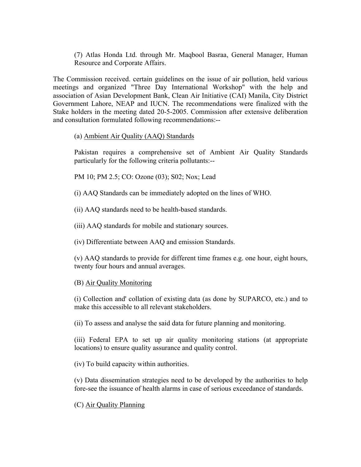(7) Atlas Honda Ltd. through Mr. Maqbool Basraa, General Manager, Human Resource and Corporate Affairs.

The Commission received. certain guidelines on the issue of air pollution, held various meetings and organized "Three Day International Workshop" with the help and association of Asian Development Bank, Clean Air Initiative (CAI) Manila, City District Government Lahore, NEAP and IUCN. The recommendations were finalized with the Stake holders in the meeting dated 20-5-2005. Commission after extensive deliberation and consultation formulated following recommendations:--

# (a) Ambient Air Quality (AAQ) Standards

Pakistan requires a comprehensive set of Ambient Air Quality Standards particularly for the following criteria pollutants:--

PM 10; PM 2.5; CO: Ozone (03); S02; Nox; Lead

(i) AAQ Standards can be immediately adopted on the lines of WHO.

(ii) AAQ standards need to be health-based standards.

(iii) AAQ standards for mobile and stationary sources.

(iv) Differentiate between AAQ and emission Standards.

(v) AAQ standards to provide for different time frames e.g. one hour, eight hours, twenty four hours and annual averages.

# (B) Air Quality Monitoring

(i) Collection and' collation of existing data (as done by SUPARCO, etc.) and to make this accessible to all relevant stakeholders.

(ii) To assess and analyse the said data for future planning and monitoring.

(iii) Federal EPA to set up air quality monitoring stations (at appropriate locations) to ensure quality assurance and quality control.

(iv) To build capacity within authorities.

(v) Data dissemination strategies need to be developed by the authorities to help fore-see the issuance of health alarms in case of serious exceedance of standards.

# (C) Air Quality Planning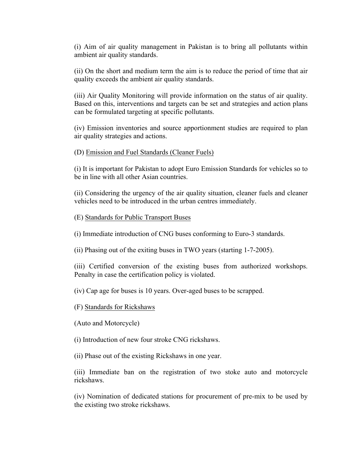(i) Aim of air quality management in Pakistan is to bring all pollutants within ambient air quality standards.

(ii) On the short and medium term the aim is to reduce the period of time that air quality exceeds the ambient air quality standards.

(iii) Air Quality Monitoring will provide information on the status of air quality. Based on this, interventions and targets can be set and strategies and action plans can be formulated targeting at specific pollutants.

(iv) Emission inventories and source apportionment studies are required to plan air quality strategies and actions.

### (D) Emission and Fuel Standards (Cleaner Fuels)

(i) It is important for Pakistan to adopt Euro Emission Standards for vehicles so to be in line with all other Asian countries.

(ii) Considering the urgency of the air quality situation, cleaner fuels and cleaner vehicles need to be introduced in the urban centres immediately.

#### (E) Standards for Public Transport Buses

(i) Immediate introduction of CNG buses conforming to Euro-3 standards.

(ii) Phasing out of the exiting buses in TWO years (starting 1-7-2005).

(iii) Certified conversion of the existing buses from authorized workshops. Penalty in case the certification policy is violated.

(iv) Cap age for buses is 10 years. Over-aged buses to be scrapped.

#### (F) Standards for Rickshaws

(Auto and Motorcycle)

(i) Introduction of new four stroke CNG rickshaws.

(ii) Phase out of the existing Rickshaws in one year.

(iii) Immediate ban on the registration of two stoke auto and motorcycle rickshaws.

(iv) Nomination of dedicated stations for procurement of pre-mix to be used by the existing two stroke rickshaws.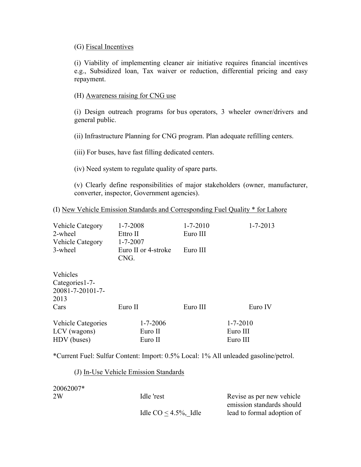## (G) Fiscal Incentives

(i) Viability of implementing cleaner air initiative requires financial incentives e.g., Subsidized loan, Tax waiver or reduction, differential pricing and easy repayment.

## (H) Awareness raising for CNG use

(i) Design outreach programs for bus operators, 3 wheeler owner/drivers and general public.

(ii) Infrastructure Planning for CNG program. Plan adequate refilling centers.

(iii) For buses, have fast filling dedicated centers.

(iv) Need system to regulate quality of spare parts.

(v) Clearly define responsibilities of major stakeholders (owner, manufacturer, converter, inspector, Government agencies).

## (I) New Vehicle Emission Standards and Corresponding Fuel Quality \* for Lahore

| <b>Vehicle Category</b><br>2-wheel<br><b>Vehicle Category</b><br>3-wheel | $1 - 7 - 2008$<br>Ettro II<br>$1 - 7 - 2007$<br>Euro II or 4-stroke<br>CNG. | $1 - 7 - 2010$<br>Euro III<br>Euro III | $1 - 7 - 2013$             |
|--------------------------------------------------------------------------|-----------------------------------------------------------------------------|----------------------------------------|----------------------------|
| Vehicles<br>Categories 1-7-<br>20081-7-20101-7-<br>2013<br>Cars          | Euro II                                                                     | Euro III                               | Euro IV                    |
| <b>Vehicle Categories</b><br>LCV (wagons)                                | $1 - 7 - 2006$<br>Euro II                                                   |                                        | $1 - 7 - 2010$<br>Euro III |

\*Current Fuel: Sulfur Content: Import: 0.5% Local: 1% All unleaded gasoline/petrol.

HDV (buses) Euro II Euro II

### (J) In-Use Vehicle Emission Standards

20062007\* 2W Idle 'rest Revise as per new vehicle emission standards should Idle  $CO \leq 4.5\%$ , Idle lead to formal adoption of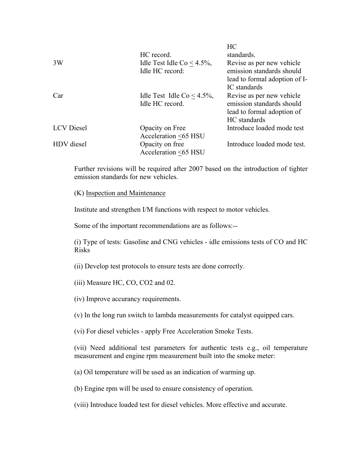|                   |                                                  | НU                                                     |
|-------------------|--------------------------------------------------|--------------------------------------------------------|
|                   | HC record.                                       | standards.                                             |
| 3W                | Idle Test Idle Co < $4.5\%$ ,<br>Idle HC record: | Revise as per new vehicle<br>emission standards should |
|                   |                                                  | lead to formal adoption of I-                          |
|                   |                                                  | IC standards                                           |
| Car               | Idle Test Idle Co < $4.5\%$ ,                    | Revise as per new vehicle                              |
|                   | Idle HC record.                                  | emission standards should                              |
|                   |                                                  | lead to formal adoption of                             |
|                   |                                                  | HC standards                                           |
| <b>LCV</b> Diesel | Opacity on Free                                  | Introduce loaded mode test                             |
|                   | Acceleration <65 HSU                             |                                                        |
| HDV diesel        | Opacity on free                                  | Introduce loaded mode test.                            |
|                   | Acceleration <65 HSU                             |                                                        |
|                   |                                                  |                                                        |

 $T<sub>0</sub>$ 

Further revisions will be required after 2007 based on the introduction of tighter emission standards for new vehicles.

(K) Inspection and Maintenance

Institute and strengthen I/M functions with respect to motor vehicles.

Some of the important recommendations are as follows:--

(i) Type of tests: Gasoline and CNG vehicles - idle emissions tests of CO and HC Risks

(ii) Develop test protocols to ensure tests are done correctly.

- (iii) Measure HC, CO, CO2 and 02.
- (iv) Improve accurancy requirements.

(v) In the long run switch to lambda measurements for catalyst equipped cars.

(vi) For diesel vehicles - apply Free Acceleration Smoke Tests.

(vii) Need additional test parameters for authentic tests e.g., oil temperature measurement and engine rpm measurement built into the smoke meter:

(a) Oil temperature will be used as an indication of warming up.

(b) Engine rpm will be used to ensure consistency of operation.

(viii) Introduce loaded test for diesel vehicles. More effective and accurate.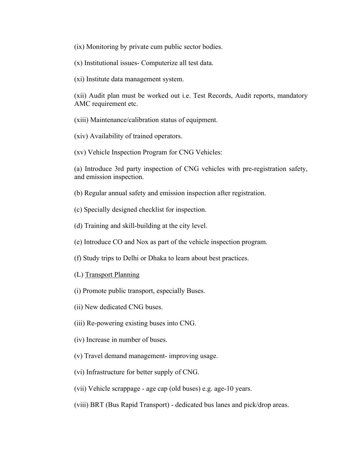(ix) Monitoring by private cum public sector bodies.

(x) Institutional issues- Computerize all test data.

(xi) Institute data management system.

(xii) Audit plan must be worked out i.e. Test Records, Audit reports, mandatory AMC requirement etc.

(xiii) Maintenance/calibration status of equipment.

(xiv) Availability of trained operators.

(xv) Vehicle Inspection Program for CNG Vehicles:

(a) Introduce 3rd party inspection of CNG vehicles with pre-registration safety, and emission inspection.

(b) Regular annual safety and emission inspection after registration.

- (c) Specially designed checklist for inspection.
- (d) Training and skill-building at the city level.

(e) Introduce CO and Nox as part of the vehicle inspection program.

(f) Study trips to Delhi or Dhaka to learn about best practices.

(L) Transport Planning

- (i) Promote public transport, especially Buses.
- (ii) New dedicated CNG buses.
- (iii) Re-powering existing buses into CNG.
- (iv) Increase in number of buses.
- (v) Travel demand management- improving usage.
- (vi) Infrastructure for better supply of CNG.
- (vii) Vehicle scrappage age cap (old buses) e.g. age-10 years.
- (viii) BRT (Bus Rapid Transport) dedicated bus lanes and pick/drop areas.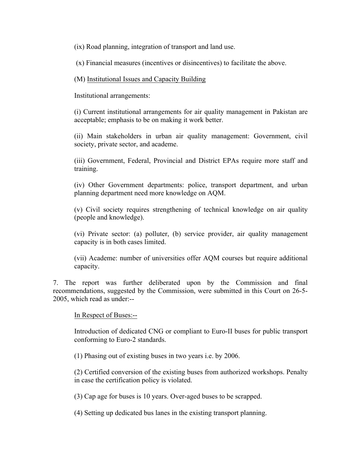(ix) Road planning, integration of transport and land use.

(x) Financial measures (incentives or disincentives) to facilitate the above.

## (M) Institutional Issues and Capacity Building

Institutional arrangements:

(i) Current institutional arrangements for air quality management in Pakistan are acceptable; emphasis to be on making it work better.

(ii) Main stakeholders in urban air quality management: Government, civil society, private sector, and academe.

(iii) Government, Federal, Provincial and District EPAs require more staff and training.

(iv) Other Government departments: police, transport department, and urban planning department need more knowledge on AQM.

(v) Civil society requires strengthening of technical knowledge on air quality (people and knowledge).

(vi) Private sector: (a) polluter, (b) service provider, air quality management capacity is in both cases limited.

(vii) Academe: number of universities offer AQM courses but require additional capacity.

7. The report was further deliberated upon by the Commission and final recommendations, suggested by the Commission, were submitted in this Court on 26-5- 2005, which read as under:--

In Respect of Buses:--

Introduction of dedicated CNG or compliant to Euro-II buses for public transport conforming to Euro-2 standards.

(1) Phasing out of existing buses in two years i.e. by 2006.

(2) Certified conversion of the existing buses from authorized workshops. Penalty in case the certification policy is violated.

(3) Cap age for buses is 10 years. Over-aged buses to be scrapped.

(4) Setting up dedicated bus lanes in the existing transport planning.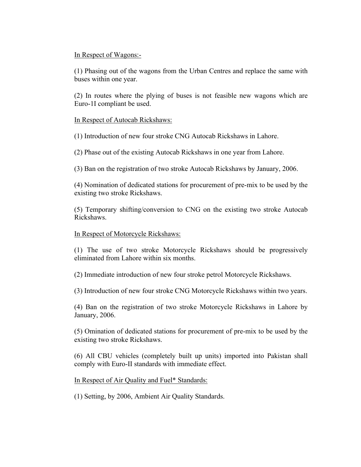## In Respect of Wagons:-

(1) Phasing out of the wagons from the Urban Centres and replace the same with buses within one year.

(2) In routes where the plying of buses is not feasible new wagons which are Euro-1I compliant be used.

## In Respect of Autocab Rickshaws:

(1) Introduction of new four stroke CNG Autocab Rickshaws in Lahore.

(2) Phase out of the existing Autocab Rickshaws in one year from Lahore.

(3) Ban on the registration of two stroke Autocab Rickshaws by January, 2006.

(4) Nomination of dedicated stations for procurement of pre-mix to be used by the existing two stroke Rickshaws.

(5) Temporary shifting/conversion to CNG on the existing two stroke Autocab Rickshaws.

### In Respect of Motorcycle Rickshaws:

(1) The use of two stroke Motorcycle Rickshaws should be progressively eliminated from Lahore within six months.

(2) Immediate introduction of new four stroke petrol Motorcycle Rickshaws.

(3) Introduction of new four stroke CNG Motorcycle Rickshaws within two years.

(4) Ban on the registration of two stroke Motorcycle Rickshaws in Lahore by January, 2006.

(5) Omination of dedicated stations for procurement of pre-mix to be used by the existing two stroke Rickshaws.

(6) All CBU vehicles (completely built up units) imported into Pakistan shall comply with Euro-II standards with immediate effect.

In Respect of Air Quality and Fuel\* Standards:

(1) Setting, by 2006, Ambient Air Quality Standards.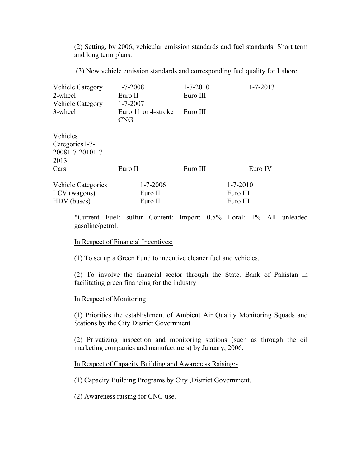(2) Setting, by 2006, vehicular emission standards and fuel standards: Short term and long term plans.

(3) New vehicle emission standards and corresponding fuel quality for Lahore.

| Vehicle Category                                                | $1 - 7 - 2008$                                      | $1 - 7 - 2010$ | $1 - 7 - 2013$ |
|-----------------------------------------------------------------|-----------------------------------------------------|----------------|----------------|
| 2-wheel                                                         | Euro II                                             | Euro III       |                |
| Vehicle Category<br>3-wheel                                     | $1 - 7 - 2007$<br>Euro 11 or 4-stroke<br><b>CNG</b> | Euro III       |                |
| Vehicles<br>Categories 1-7-<br>20081-7-20101-7-<br>2013<br>Cars | Euro II                                             | Euro III       | Euro IV        |
| <b>Vehicle Categories</b>                                       | $1 - 7 - 2006$                                      |                | $1 - 7 - 2010$ |
| LCV (wagons)                                                    | Euro II                                             |                | Euro III       |
| HDV (buses)                                                     | Euro II                                             |                | Euro III       |

\*Current Fuel: sulfur Content: Import: 0.5% Loral: 1% All unleaded gasoline/petrol.

### In Respect of Financial Incentives:

(1) To set up a Green Fund to incentive cleaner fuel and vehicles.

(2) To involve the financial sector through the State. Bank of Pakistan in facilitating green financing for the industry

#### In Respect of Monitoring

(1) Priorities the establishment of Ambient Air Quality Monitoring Squads and Stations by the City District Government.

(2) Privatizing inspection and monitoring stations (such as through the oil marketing companies and manufacturers) by January, 2006.

#### In Respect of Capacity Building and Awareness Raising:-

(1) Capacity Building Programs by City ,District Government.

(2) Awareness raising for CNG use.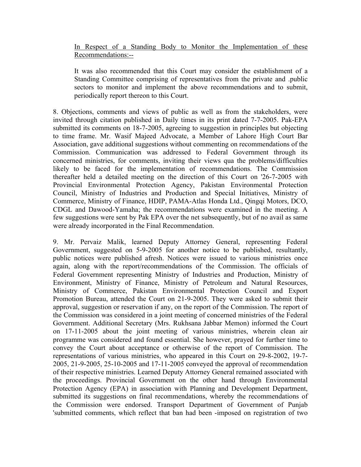In Respect of a Standing Body to Monitor the Implementation of these Recommendations:--

It was also recommended that this Court may consider the establishment of a Standing Committee comprising of representatives from the private and .public sectors to monitor and implement the above recommendations and to submit, periodically report thereon to this Court.

8. Objections, comments and views of public as well as from the stakeholders, were invited through citation published in Daily times in its print dated 7-7-2005. Pak-EPA submitted its comments on 18-7-2005, agreeing to suggestion in principles but objecting to time frame. Mr. Wasif Majeed Advocate, a Member of Lahore High Court Bar Association, gave additional suggestions without commenting on recommendations of the Commission. Communication was addressed to Federal Government through its concerned ministries, for comments, inviting their views qua the problems/difficulties likely to be faced for the implementation of recommendations. The Commission thereafter held a detailed meeting on the direction of this Court on '26-7-2005 with Provincial Environmental Protection Agency, Pakistan Environmental Protection Council, Ministry of Industries and Production and Special Initiatives, Ministry of Commerce, Ministry of Finance, HDIP, PAMA-Atlas Honda Ltd., Qingqi Motors, DCO, CDGL and Dawood-Yamaha; the recommendations were examined in the meeting. A few suggestions were sent by Pak EPA over the net subsequently, but of no avail as same were already incorporated in the Final Recommendation.

9. Mr. Pervaiz Malik, learned Deputy Attorney General, representing Federal Government, suggested on 5-9-2005 for another notice to be published, resultantly, public notices were published afresh. Notices were issued to various ministries once again, along with the report/recommendations of the Commission. The officials of Federal Government representing Ministry of Industries and Production, Ministry of Environment, Ministry of Finance, Ministry of Petroleum and Natural Resources, Ministry of Commerce, Pakistan Environmental Protection Council and Export Promotion Bureau, attended the Court on 21-9-2005. They were asked to submit their approval, suggestion or reservation if any, on the report of the Commission. The report of the Commission was considered in a joint meeting of concerned ministries of the Federal Government. Additional Secretary (Mrs. Rukhsana Jabbar Memon) informed the Court on 17-11-2005 about the joint meeting of various ministries, wherein clean air programme was considered and found essential. She however, prayed for further time to convey the Court about acceptance or otherwise of the report of Commission. The representations of various ministries, who appeared in this Court on 29-8-2002, 19-7- 2005, 21-9-2005, 25-10-2005 and 17-11-2005 conveyed the approval of recommendation of their respective ministries. Learned Deputy Attorney General remained associated with the proceedings. Provincial Government on the other hand through Environmental Protection Agency (EPA) in association with Planning and Development Department, submitted its suggestions on final recommendations, whereby the recommendations of the Commission were endorsed. Transport Department of Government of Punjab 'submitted comments, which reflect that ban had been -imposed on registration of two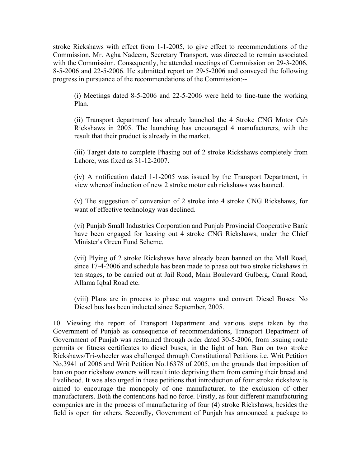stroke Rickshaws with effect from 1-1-2005, to give effect to recommendations of the Commission. Mr. Agha Nadeem, Secretary Transport, was directed to remain associated with the Commission. Consequently, he attended meetings of Commission on 29-3-2006, 8-5-2006 and 22-5-2006. He submitted report on 29-5-2006 and conveyed the following progress in pursuance of the recommendations of the Commission:--

(i) Meetings dated 8-5-2006 and 22-5-2006 were held to fine-tune the working Plan.

(ii) Transport department' has already launched the 4 Stroke CNG Motor Cab Rickshaws in 2005. The launching has encouraged 4 manufacturers, with the result that their product is already in the market.

(iii) Target date to complete Phasing out of 2 stroke Rickshaws completely from Lahore, was fixed as 31-12-2007.

(iv) A notification dated 1-1-2005 was issued by the Transport Department, in view whereof induction of new 2 stroke motor cab rickshaws was banned.

(v) The suggestion of conversion of 2 stroke into 4 stroke CNG Rickshaws, for want of effective technology was declined.

(vi) Punjab Small Industries Corporation and Punjab Provincial Cooperative Bank have been engaged for leasing out 4 stroke CNG Rickshaws, under the Chief Minister's Green Fund Scheme.

(vii) Plying of 2 stroke Rickshaws have already been banned on the Mall Road, since 17-4-2006 and schedule has been made to phase out two stroke rickshaws in ten stages, to be carried out at Jail Road, Main Boulevard Gulberg, Canal Road, Allama Iqbal Road etc.

(viii) Plans are in process to phase out wagons and convert Diesel Buses: No Diesel bus has been inducted since September, 2005.

10. Viewing the report of Transport Department and various steps taken by the Government of Punjab as consequence of recommendations, Transport Department of Government of Punjab was restrained through order dated 30-5-2006, from issuing route permits or fitness certificates to diesel buses, in the light of ban. Ban on two stroke Rickshaws/Tri-wheeler was challenged through Constitutional Petitions i.e. Writ Petition No.3941 of 2006 and Writ Petition No.16378 of 2005, on the grounds that imposition of ban on poor rickshaw owners will result into depriving them from earning their bread and livelihood. It was also urged in these petitions that introduction of four stroke rickshaw is aimed to encourage the monopoly of one manufacturer, to the exclusion of other manufacturers. Both the contentions had no force. Firstly, as four different manufacturing companies are in the process of manufacturing of four (4) stroke Rickshaws, besides the field is open for others. Secondly, Government of Punjab has announced a package to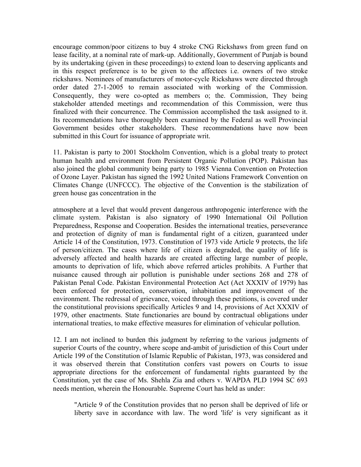encourage common/poor citizens to buy 4 stroke CNG Rickshaws from green fund on lease facility, at a nominal rate of mark-up. Additionally, Government of Punjab is bound by its undertaking (given in these proceedings) to extend loan to deserving applicants and in this respect preference is to be given to the affectees i.e. owners of two stroke rickshaws. Nominees of manufacturers of motor-cycle Rickshaws were directed through order dated 27-1-2005 to remain associated with working of the Commission. Consequently, they were co-opted as members o; the. Commission, They being stakeholder attended meetings and recommendation of this Commission, were thus finalized with their concurrence. The Commission accomplished the task assigned to it. Its recommendations have thoroughly been examined by the Federal as well Provincial Government besides other stakeholders. These recommendations have now been submitted in this Court for issuance of appropriate writ.

11. Pakistan is party to 2001 Stockholm Convention, which is a global treaty to protect human health and environment from Persistent Organic Pollution (POP). Pakistan has also joined the global community being party to 1985 Vienna Convention on Protection of Ozone Layer. Pakistan has signed the 1992 United Nations Framework Convention on Climates Change (UNFCCC). The objective of the Convention is the stabilization of green house gas concentration in the

atmosphere at a level that would prevent dangerous anthropogenic interference with the climate system. Pakistan is also signatory of 1990 International Oil Pollution Preparedness, Response and Cooperation. Besides the international treaties, perseverance and protection of dignity of man is fundamental right of a citizen, guaranteed under Article 14 of the Constitution, 1973. Constitution of 1973 vide Article 9 protects, the life of person/citizen. The cases where life of citizen is degraded, the quality of life is adversely affected and health hazards are created affecting large number of people, amounts to deprivation of life, which above referred articles prohibits. A Further that nuisance caused through air pollution is punishable under sections 268 and 278 of Pakistan Penal Code. Pakistan Environmental Protection Act (Act XXXIV of 1979) has been enforced for protection, conservation, inhabitation and improvement of the environment. The redressal of grievance, voiced through these petitions, is covered under the constitutional provisions specifically Articles 9 and 14, provisions of Act XXXIV of 1979, other enactments. State functionaries are bound by contractual obligations under international treaties, to make effective measures for elimination of vehicular pollution.

12. I am not inclined to burden this judgment by referring to the various judgments of superior Courts of the country, where scope and-ambit of jurisdiction of this Court under Article 199 of the Constitution of Islamic Republic of Pakistan, 1973, was considered and it was observed therein that Constitution confers vast powers on Courts to issue appropriate directions for the enforcement of fundamental rights guaranteed by the Constitution, yet the case of Ms. Shehla Zia and others v. WAPDA PLD 1994 SC 693 needs mention, wherein the Honourable. Supreme Court has held as under:

"Article 9 of the Constitution provides that no person shall be deprived of life or liberty save in accordance with law. The word 'life' is very significant as it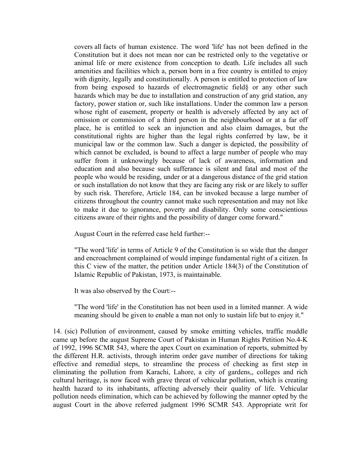covers all facts of human existence. The word 'life' has not been defined in the Constitution but it does not mean nor can be restricted only to the vegetative or animal life or mere existence from conception to death. Life includes all such amenities and facilities which a, person born in a free country is entitled to enjoy with dignity, legally and constitutionally. A person is entitled to protection of law from being exposed to hazards of electromagnetic field§ or any other such hazards which may be due to installation and construction of any grid station, any factory, power station or, such like installations. Under the common law a person whose right of easement, property or health is adversely affected by any act of omission or commission of a third person in the neighbourhood or at a far off place, he is entitled to seek an injunction and also claim damages, but the constitutional rights are higher than the legal rights conferred by law, be it municipal law or the common law. Such a danger is depicted, the possibility of which cannot be excluded, is bound to affect a large number of people who may suffer from it unknowingly because of lack of awareness, information and education and also because such sufferance is silent and fatal and most of the people who would be residing, under or at a dangerous distance of the grid station or such installation do not know that they are facing any risk or are likely to suffer by such risk. Therefore, Article 184, can be invoked because a large number of citizens throughout the country cannot make such representation and may not like to make it due to ignorance, poverty and disability. Only some conscientious citizens aware of their rights and the possibility of danger come forward."

August Court in the referred case held further:--

"The word 'life' in terms of Article 9 of the Constitution is so wide that the danger and encroachment complained of would impinge fundamental right of a citizen. In this C view of the matter, the petition under Article 184(3) of the Constitution of Islamic Republic of Pakistan, 1973, is maintainable.

It was also observed by the Court:--

"The word 'life' in the Constitution has not been used in a limited manner. A wide meaning should be given to enable a man not only to sustain life but to enjoy it."

14. (sic) Pollution of environment, caused by smoke emitting vehicles, traffic muddle came up before the august Supreme Court of Pakistan in Human Rights Petition No.4-K of 1992, 1996 SCMR 543, where the apex Court on examination of reports, submitted by the different H.R. activists, through interim order gave number of directions for taking effective and remedial steps, to streamline the process of checking as first step in eliminating the pollution from Karachi, Lahore, a city of gardens,, colleges and rich cultural heritage, is now faced with grave threat of vehicular pollution, which is creating health hazard to its inhabitants, affecting adversely their quality of life. Vehicular pollution needs elimination, which can be achieved by following the manner opted by the august Court in the above referred judgment 1996 SCMR 543. Appropriate writ for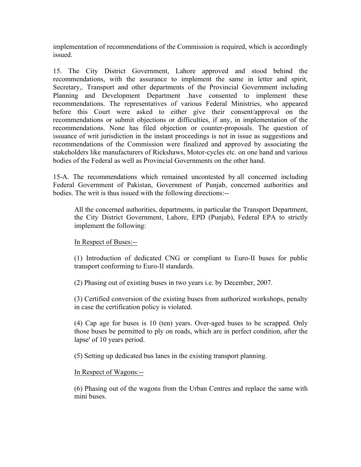implementation of recommendations of the Commission is required, which is accordingly issued.

15. The City District Government, Lahore approved and stood behind the recommendations, with the assurance to implement the same in letter and spirit, Secretary,. Transport and other departments of the Provincial Government including Planning and Development Department .have consented to implement these recommendations. The representatives of various Federal Ministries, who appeared before this Court were asked to either give their consent/approval on the recommendations or submit objections or difficulties, if any, in implementation of the recommendations. None has filed objection or counter-proposals. The question of issuance of writ jurisdiction in the instant proceedings is not in issue as suggestions and recommendations of the Commission were finalized and approved by associating the stakeholders like manufacturers of Rickshaws, Motor-cycles etc. on one hand and various bodies of the Federal as well as Provincial Governments on the other hand.

15-A. The recommendations which remained uncontested by all concerned including Federal Government of Pakistan, Government of Punjab, concerned authorities and bodies. The writ is thus issued with the following directions:--

All the concerned authorities, departments, in particular the Transport Department, the City District Government, Lahore, EPD (Punjab), Federal EPA to strictly implement the following:

# In Respect of Buses:--

(1) Introduction of dedicated CNG or compliant to Euro-II buses for public transport conforming to Euro-II standards.

(2) Phasing out of existing buses in two years i.e. by December, 2007.

(3) Certified conversion of the existing buses from authorized workshops, penalty in case the certification policy is violated.

(4) Cap age for buses is 10 (ten) years. Over-aged buses to be scrapped. Only those buses be permitted to ply on roads, which are in perfect condition, after the lapse' of 10 years period.

(5) Setting up dedicated bus lanes in the existing transport planning.

### In Respect of Wagons:--

(6) Phasing out of the wagons from the Urban Centres and replace the same with mini buses.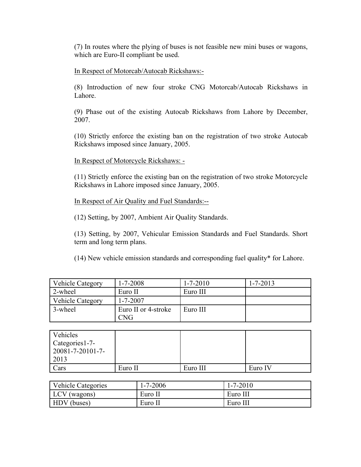(7) In routes where the plying of buses is not feasible new mini buses or wagons, which are Euro-II compliant be used.

In Respect of Motorcab/Autocab Rickshaws:-

(8) Introduction of new four stroke CNG Motorcab/Autocab Rickshaws in Lahore.

(9) Phase out of the existing Autocab Rickshaws from Lahore by December, 2007.

(10) Strictly enforce the existing ban on the registration of two stroke Autocab Rickshaws imposed since January, 2005.

In Respect of Motorcycle Rickshaws: -

(11) Strictly enforce the existing ban on the registration of two stroke Motorcycle Rickshaws in Lahore imposed since January, 2005.

In Respect of Air Quality and Fuel Standards:--

(12) Setting, by 2007, Ambient Air Quality Standards.

(13) Setting, by 2007, Vehicular Emission Standards and Fuel Standards. Short term and long term plans.

(14) New vehicle emission standards and corresponding fuel quality\* for Lahore.

| <b>Vehicle Category</b> | $1 - 7 - 2008$                    | $1 - 7 - 2010$ | $1 - 7 - 2013$ |
|-------------------------|-----------------------------------|----------------|----------------|
| 2-wheel                 | Euro II                           | Euro III       |                |
| <b>Vehicle Category</b> | $1 - 7 - 2007$                    |                |                |
| 3-wheel                 | Euro II or 4-stroke<br><b>CNG</b> | Euro III       |                |

| Vehicles         |         |          |         |
|------------------|---------|----------|---------|
| Categories 1-7-  |         |          |         |
| 20081-7-20101-7- |         |          |         |
| 2013             |         |          |         |
| Cars             | Euro II | Euro III | Euro IV |

| <b>Vehicle Categories</b> | $1 - 7 - 2006$ | $1 - 7 - 2010$ |
|---------------------------|----------------|----------------|
| LCV (wagons)              | Euro II        | Euro III       |
| HDV (buses)               | Euro II        | Euro III       |